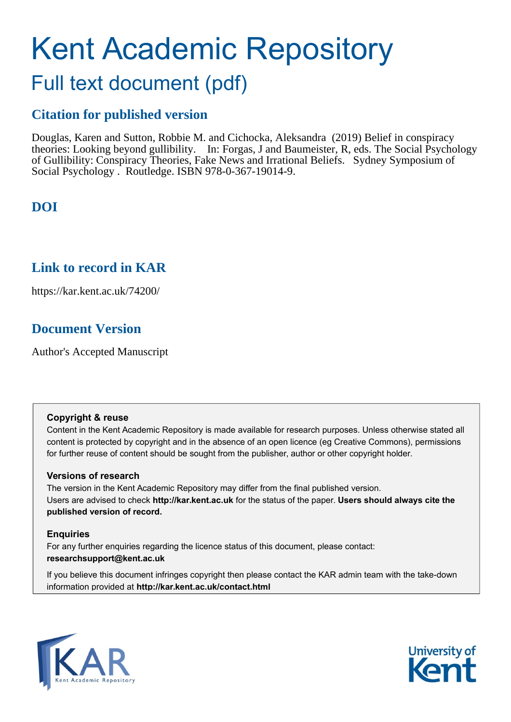# Kent Academic Repository

## Full text document (pdf)

## **Citation for published version**

Douglas, Karen and Sutton, Robbie M. and Cichocka, Aleksandra (2019) Belief in conspiracy theories: Looking beyond gullibility. In: Forgas, J and Baumeister, R, eds. The Social Psychology of Gullibility: Conspiracy Theories, Fake News and Irrational Beliefs. Sydney Symposium of Social Psychology . Routledge. ISBN 978-0-367-19014-9.

## **DOI**

### **Link to record in KAR**

https://kar.kent.ac.uk/74200/

## **Document Version**

Author's Accepted Manuscript

#### **Copyright & reuse**

Content in the Kent Academic Repository is made available for research purposes. Unless otherwise stated all content is protected by copyright and in the absence of an open licence (eg Creative Commons), permissions for further reuse of content should be sought from the publisher, author or other copyright holder.

#### **Versions of research**

The version in the Kent Academic Repository may differ from the final published version. Users are advised to check **http://kar.kent.ac.uk** for the status of the paper. **Users should always cite the published version of record.**

#### **Enquiries**

For any further enquiries regarding the licence status of this document, please contact: **researchsupport@kent.ac.uk**

If you believe this document infringes copyright then please contact the KAR admin team with the take-down information provided at **http://kar.kent.ac.uk/contact.html**



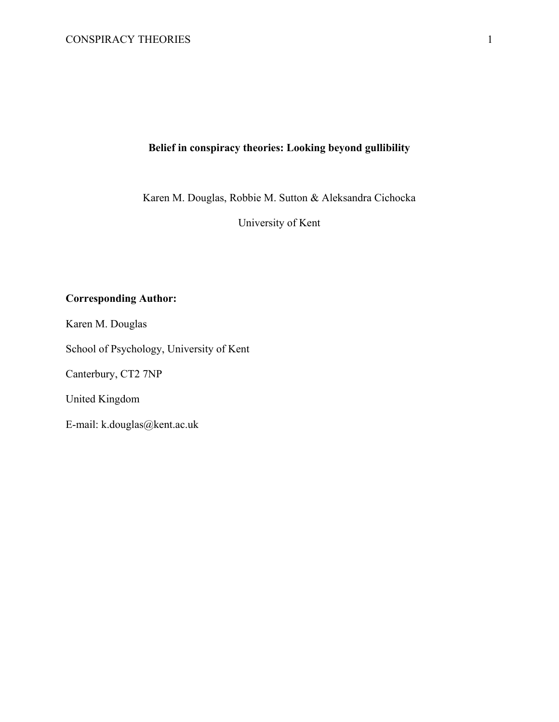#### **Belief in conspiracy theories: Looking beyond gullibility**

Karen M. Douglas, Robbie M. Sutton & Aleksandra Cichocka

University of Kent

#### **Corresponding Author:**

Karen M. Douglas

School of Psychology, University of Kent

Canterbury, CT2 7NP

United Kingdom

E-mail: k.douglas@kent.ac.uk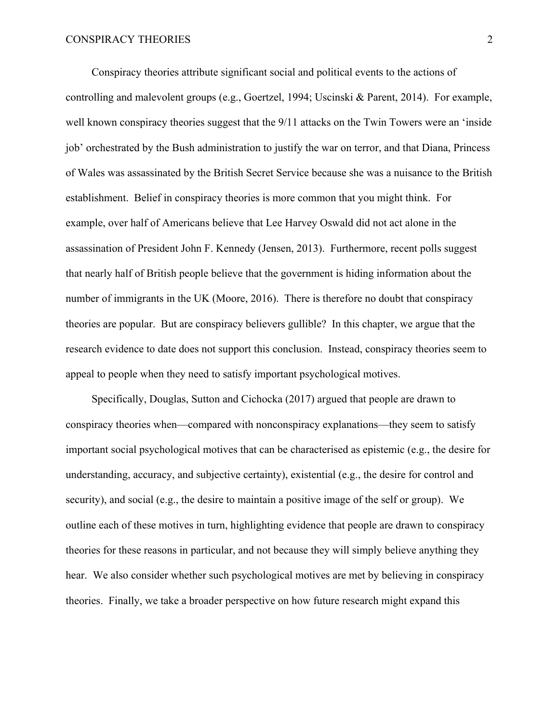Conspiracy theories attribute significant social and political events to the actions of controlling and malevolent groups (e.g., Goertzel, 1994; Uscinski & Parent, 2014). For example, well known conspiracy theories suggest that the 9/11 attacks on the Twin Towers were an 'inside job' orchestrated by the Bush administration to justify the war on terror, and that Diana, Princess of Wales was assassinated by the British Secret Service because she was a nuisance to the British establishment. Belief in conspiracy theories is more common that you might think. For example, over half of Americans believe that Lee Harvey Oswald did not act alone in the assassination of President John F. Kennedy (Jensen, 2013). Furthermore, recent polls suggest that nearly half of British people believe that the government is hiding information about the number of immigrants in the UK (Moore, 2016). There is therefore no doubt that conspiracy theories are popular. But are conspiracy believers gullible? In this chapter, we argue that the research evidence to date does not support this conclusion. Instead, conspiracy theories seem to appeal to people when they need to satisfy important psychological motives.

Specifically, Douglas, Sutton and Cichocka (2017) argued that people are drawn to conspiracy theories when—compared with nonconspiracy explanations—they seem to satisfy important social psychological motives that can be characterised as epistemic (e.g., the desire for understanding, accuracy, and subjective certainty), existential (e.g., the desire for control and security), and social (e.g., the desire to maintain a positive image of the self or group). We outline each of these motives in turn, highlighting evidence that people are drawn to conspiracy theories for these reasons in particular, and not because they will simply believe anything they hear. We also consider whether such psychological motives are met by believing in conspiracy theories. Finally, we take a broader perspective on how future research might expand this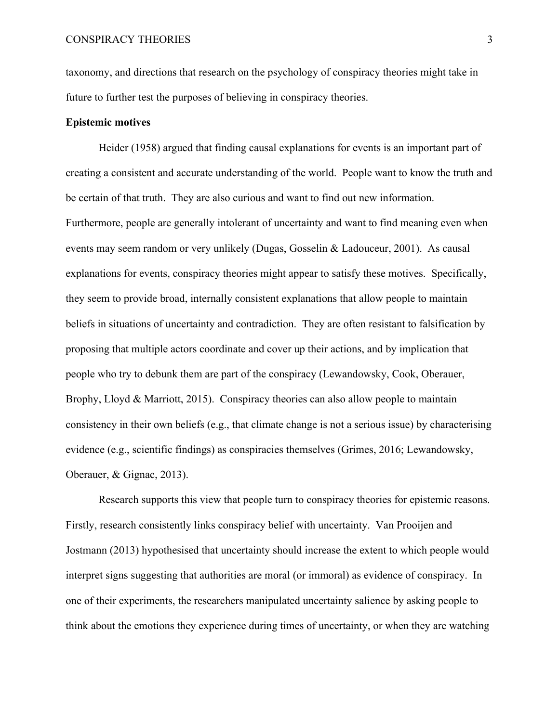taxonomy, and directions that research on the psychology of conspiracy theories might take in future to further test the purposes of believing in conspiracy theories.

#### **Epistemic motives**

Heider (1958) argued that finding causal explanations for events is an important part of creating a consistent and accurate understanding of the world. People want to know the truth and be certain of that truth. They are also curious and want to find out new information. Furthermore, people are generally intolerant of uncertainty and want to find meaning even when events may seem random or very unlikely (Dugas, Gosselin & Ladouceur, 2001). As causal explanations for events, conspiracy theories might appear to satisfy these motives. Specifically, they seem to provide broad, internally consistent explanations that allow people to maintain beliefs in situations of uncertainty and contradiction. They are often resistant to falsification by proposing that multiple actors coordinate and cover up their actions, and by implication that people who try to debunk them are part of the conspiracy (Lewandowsky, Cook, Oberauer, Brophy, Lloyd & Marriott, 2015). Conspiracy theories can also allow people to maintain consistency in their own beliefs (e.g., that climate change is not a serious issue) by characterising evidence (e.g., scientific findings) as conspiracies themselves (Grimes, 2016; Lewandowsky, Oberauer, & Gignac, 2013).

Research supports this view that people turn to conspiracy theories for epistemic reasons. Firstly, research consistently links conspiracy belief with uncertainty. Van Prooijen and Jostmann (2013) hypothesised that uncertainty should increase the extent to which people would interpret signs suggesting that authorities are moral (or immoral) as evidence of conspiracy. In one of their experiments, the researchers manipulated uncertainty salience by asking people to think about the emotions they experience during times of uncertainty, or when they are watching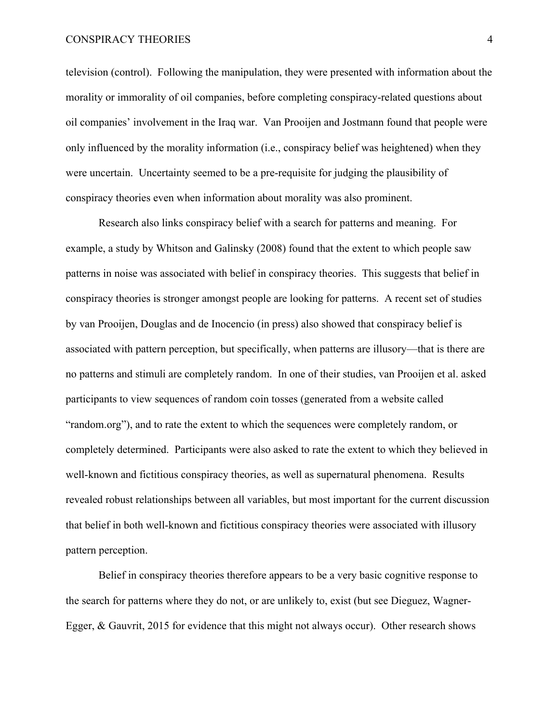#### CONSPIRACY THEORIES 4

television (control). Following the manipulation, they were presented with information about the morality or immorality of oil companies, before completing conspiracy-related questions about oil companies' involvement in the Iraq war. Van Prooijen and Jostmann found that people were only influenced by the morality information (i.e., conspiracy belief was heightened) when they were uncertain. Uncertainty seemed to be a pre-requisite for judging the plausibility of conspiracy theories even when information about morality was also prominent.

Research also links conspiracy belief with a search for patterns and meaning. For example, a study by Whitson and Galinsky (2008) found that the extent to which people saw patterns in noise was associated with belief in conspiracy theories. This suggests that belief in conspiracy theories is stronger amongst people are looking for patterns. A recent set of studies by van Prooijen, Douglas and de Inocencio (in press) also showed that conspiracy belief is associated with pattern perception, but specifically, when patterns are illusory—that is there are no patterns and stimuli are completely random. In one of their studies, van Prooijen et al. asked participants to view sequences of random coin tosses (generated from a website called "random.org"), and to rate the extent to which the sequences were completely random, or completely determined. Participants were also asked to rate the extent to which they believed in well-known and fictitious conspiracy theories, as well as supernatural phenomena. Results revealed robust relationships between all variables, but most important for the current discussion that belief in both well-known and fictitious conspiracy theories were associated with illusory pattern perception.

Belief in conspiracy theories therefore appears to be a very basic cognitive response to the search for patterns where they do not, or are unlikely to, exist (but see Dieguez, Wagner-Egger, & Gauvrit, 2015 for evidence that this might not always occur). Other research shows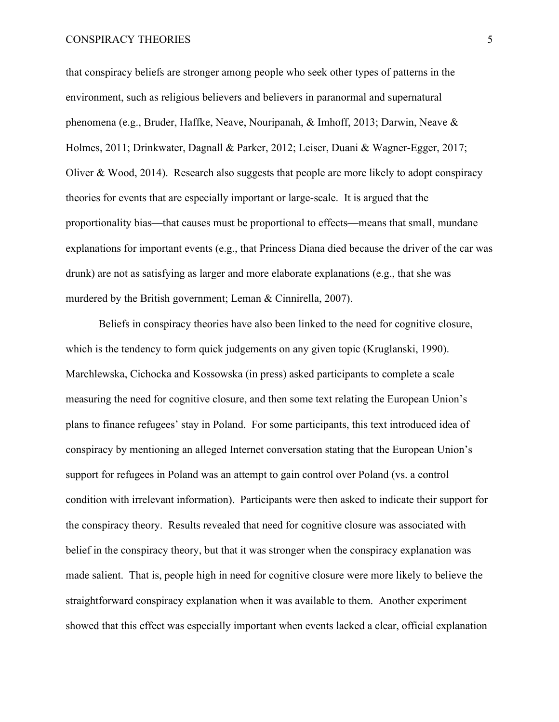#### CONSPIRACY THEORIES 5

that conspiracy beliefs are stronger among people who seek other types of patterns in the environment, such as religious believers and believers in paranormal and supernatural phenomena (e.g., Bruder, Haffke, Neave, Nouripanah, & Imhoff, 2013; Darwin, Neave & Holmes, 2011; Drinkwater, Dagnall & Parker, 2012; Leiser, Duani & Wagner-Egger, 2017; Oliver & Wood, 2014). Research also suggests that people are more likely to adopt conspiracy theories for events that are especially important or large-scale. It is argued that the proportionality bias—that causes must be proportional to effects—means that small, mundane explanations for important events (e.g., that Princess Diana died because the driver of the car was drunk) are not as satisfying as larger and more elaborate explanations (e.g., that she was murdered by the British government; Leman & Cinnirella, 2007).

Beliefs in conspiracy theories have also been linked to the need for cognitive closure, which is the tendency to form quick judgements on any given topic (Kruglanski, 1990). Marchlewska, Cichocka and Kossowska (in press) asked participants to complete a scale measuring the need for cognitive closure, and then some text relating the European Union's plans to finance refugees' stay in Poland. For some participants, this text introduced idea of conspiracy by mentioning an alleged Internet conversation stating that the European Union's support for refugees in Poland was an attempt to gain control over Poland (vs. a control condition with irrelevant information). Participants were then asked to indicate their support for the conspiracy theory. Results revealed that need for cognitive closure was associated with belief in the conspiracy theory, but that it was stronger when the conspiracy explanation was made salient. That is, people high in need for cognitive closure were more likely to believe the straightforward conspiracy explanation when it was available to them. Another experiment showed that this effect was especially important when events lacked a clear, official explanation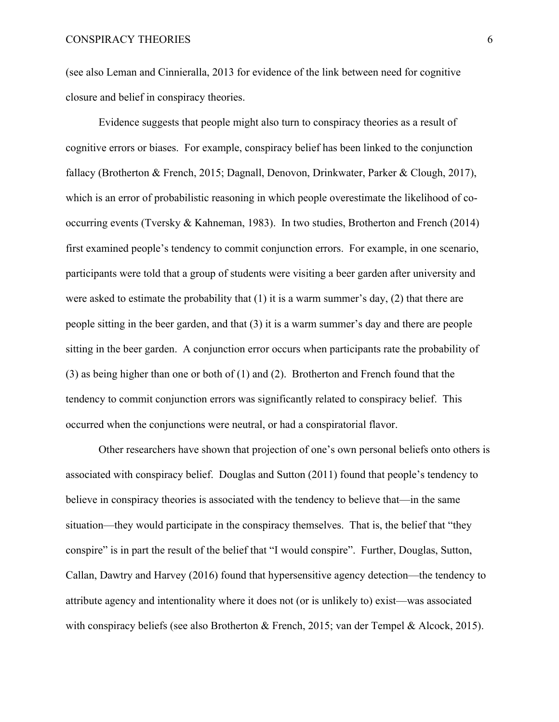(see also Leman and Cinnieralla, 2013 for evidence of the link between need for cognitive closure and belief in conspiracy theories.

Evidence suggests that people might also turn to conspiracy theories as a result of cognitive errors or biases. For example, conspiracy belief has been linked to the conjunction fallacy (Brotherton & French, 2015; Dagnall, Denovon, Drinkwater, Parker & Clough, 2017), which is an error of probabilistic reasoning in which people overestimate the likelihood of cooccurring events (Tversky & Kahneman, 1983). In two studies, Brotherton and French (2014) first examined people's tendency to commit conjunction errors. For example, in one scenario, participants were told that a group of students were visiting a beer garden after university and were asked to estimate the probability that  $(1)$  it is a warm summer's day,  $(2)$  that there are people sitting in the beer garden, and that (3) it is a warm summer's day and there are people sitting in the beer garden. A conjunction error occurs when participants rate the probability of (3) as being higher than one or both of (1) and (2). Brotherton and French found that the tendency to commit conjunction errors was significantly related to conspiracy belief. This occurred when the conjunctions were neutral, or had a conspiratorial flavor.

Other researchers have shown that projection of one's own personal beliefs onto others is associated with conspiracy belief. Douglas and Sutton (2011) found that people's tendency to believe in conspiracy theories is associated with the tendency to believe that—in the same situation—they would participate in the conspiracy themselves. That is, the belief that "they conspire" is in part the result of the belief that "I would conspire". Further, Douglas, Sutton, Callan, Dawtry and Harvey (2016) found that hypersensitive agency detection—the tendency to attribute agency and intentionality where it does not (or is unlikely to) exist—was associated with conspiracy beliefs (see also Brotherton & French, 2015; van der Tempel & Alcock, 2015).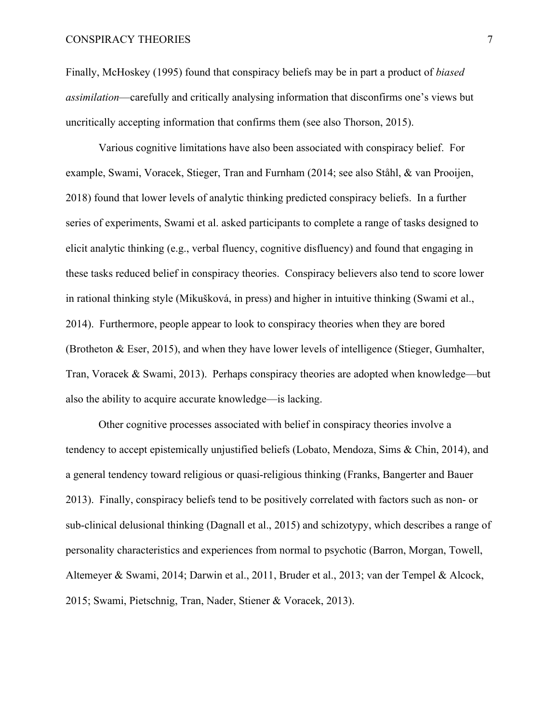Finally, McHoskey (1995) found that conspiracy beliefs may be in part a product of *biased assimilation*—carefully and critically analysing information that disconfirms one's views but uncritically accepting information that confirms them (see also Thorson, 2015).

Various cognitive limitations have also been associated with conspiracy belief. For example, Swami, Voracek, Stieger, Tran and Furnham (2014; see also Ståhl, & van Prooijen, 2018) found that lower levels of analytic thinking predicted conspiracy beliefs. In a further series of experiments, Swami et al. asked participants to complete a range of tasks designed to elicit analytic thinking (e.g., verbal fluency, cognitive disfluency) and found that engaging in these tasks reduced belief in conspiracy theories. Conspiracy believers also tend to score lower in rational thinking style (Mikušková, in press) and higher in intuitive thinking (Swami et al., 2014). Furthermore, people appear to look to conspiracy theories when they are bored (Brotheton & Eser, 2015), and when they have lower levels of intelligence (Stieger, Gumhalter, Tran, Voracek & Swami, 2013).Perhaps conspiracy theories are adopted when knowledge—but also the ability to acquire accurate knowledge—is lacking.

Other cognitive processes associated with belief in conspiracy theories involve a tendency to accept epistemically unjustified beliefs (Lobato, Mendoza, Sims & Chin, 2014), and a general tendency toward religious or quasi-religious thinking (Franks, Bangerter and Bauer 2013). Finally, conspiracy beliefs tend to be positively correlated with factors such as non- or sub-clinical delusional thinking (Dagnall et al., 2015) and schizotypy, which describes a range of personality characteristics and experiences from normal to psychotic (Barron, Morgan, Towell, Altemeyer & Swami, 2014; Darwin et al., 2011, Bruder et al., 2013; van der Tempel & Alcock, 2015; Swami, Pietschnig, Tran, Nader, Stiener & Voracek, 2013).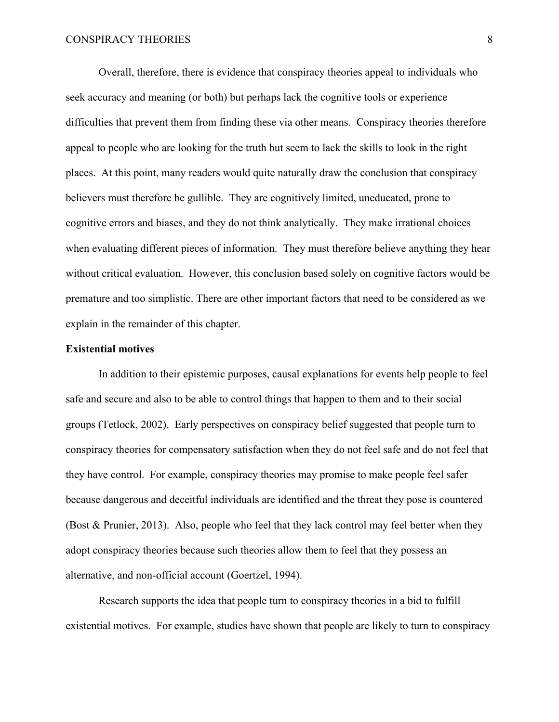Overall, therefore, there is evidence that conspiracy theories appeal to individuals who seek accuracy and meaning (or both) but perhaps lack the cognitive tools or experience difficulties that prevent them from finding these via other means. Conspiracy theories therefore appeal to people who are looking for the truth but seem to lack the skills to look in the right places. At this point, many readers would quite naturally draw the conclusion that conspiracy believers must therefore be gullible. They are cognitively limited, uneducated, prone to cognitive errors and biases, and they do not think analytically. They make irrational choices when evaluating different pieces of information. They must therefore believe anything they hear without critical evaluation. However, this conclusion based solely on cognitive factors would be premature and too simplistic. There are other important factors that need to be considered as we explain in the remainder of this chapter.

#### **Existential motives**

In addition to their epistemic purposes, causal explanations for events help people to feel safe and secure and also to be able to control things that happen to them and to their social groups (Tetlock, 2002). Early perspectives on conspiracy belief suggested that people turn to conspiracy theories for compensatory satisfaction when they do not feel safe and do not feel that they have control. For example, conspiracy theories may promise to make people feel safer because dangerous and deceitful individuals are identified and the threat they pose is countered (Bost & Prunier, 2013). Also, people who feel that they lack control may feel better when they adopt conspiracy theories because such theories allow them to feel that they possess an alternative, and non-official account (Goertzel, 1994).

Research supports the idea that people turn to conspiracy theories in a bid to fulfill existential motives. For example, studies have shown that people are likely to turn to conspiracy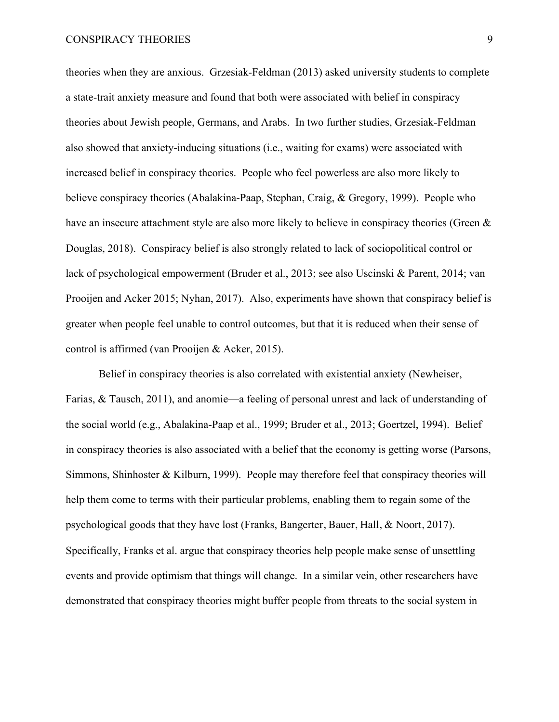theories when they are anxious. Grzesiak-Feldman (2013) asked university students to complete a state-trait anxiety measure and found that both were associated with belief in conspiracy theories about Jewish people, Germans, and Arabs. In two further studies, Grzesiak-Feldman also showed that anxiety-inducing situations (i.e., waiting for exams) were associated with increased belief in conspiracy theories. People who feel powerless are also more likely to believe conspiracy theories (Abalakina-Paap, Stephan, Craig, & Gregory, 1999). People who have an insecure attachment style are also more likely to believe in conspiracy theories (Green  $\&$ Douglas, 2018). Conspiracy belief is also strongly related to lack of sociopolitical control or lack of psychological empowerment (Bruder et al., 2013; see also Uscinski & Parent, 2014; van Prooijen and Acker 2015; Nyhan, 2017). Also, experiments have shown that conspiracy belief is greater when people feel unable to control outcomes, but that it is reduced when their sense of control is affirmed (van Prooijen & Acker, 2015).

Belief in conspiracy theories is also correlated with existential anxiety (Newheiser, Farias, & Tausch, 2011), and anomie—a feeling of personal unrest and lack of understanding of the social world (e.g., Abalakina-Paap et al., 1999; Bruder et al., 2013; Goertzel, 1994). Belief in conspiracy theories is also associated with a belief that the economy is getting worse (Parsons, Simmons, Shinhoster & Kilburn, 1999). People may therefore feel that conspiracy theories will help them come to terms with their particular problems, enabling them to regain some of the psychological goods that they have lost (Franks, Bangerter, Bauer, Hall, & Noort, 2017). Specifically, Franks et al. argue that conspiracy theories help people make sense of unsettling events and provide optimism that things will change. In a similar vein, other researchers have demonstrated that conspiracy theories might buffer people from threats to the social system in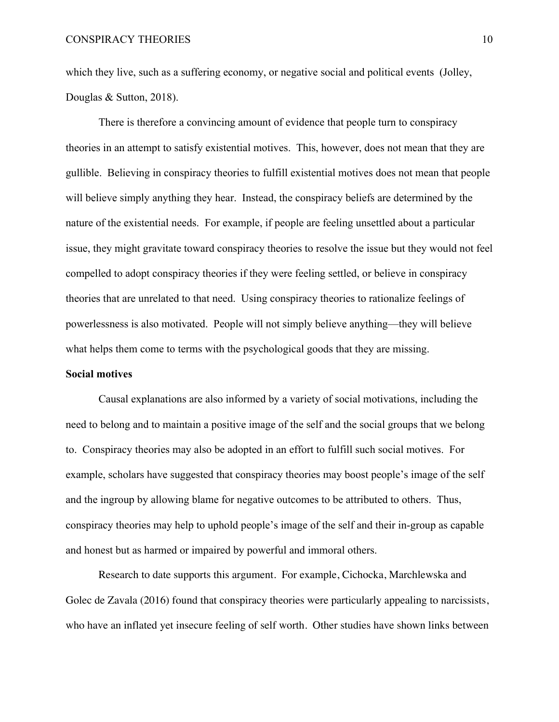which they live, such as a suffering economy, or negative social and political events (Jolley, Douglas & Sutton, 2018).

There is therefore a convincing amount of evidence that people turn to conspiracy theories in an attempt to satisfy existential motives. This, however, does not mean that they are gullible. Believing in conspiracy theories to fulfill existential motives does not mean that people will believe simply anything they hear. Instead, the conspiracy beliefs are determined by the nature of the existential needs. For example, if people are feeling unsettled about a particular issue, they might gravitate toward conspiracy theories to resolve the issue but they would not feel compelled to adopt conspiracy theories if they were feeling settled, or believe in conspiracy theories that are unrelated to that need. Using conspiracy theories to rationalize feelings of powerlessness is also motivated. People will not simply believe anything—they will believe what helps them come to terms with the psychological goods that they are missing.

#### **Social motives**

Causal explanations are also informed by a variety of social motivations, including the need to belong and to maintain a positive image of the self and the social groups that we belong to. Conspiracy theories may also be adopted in an effort to fulfill such social motives. For example, scholars have suggested that conspiracy theories may boost people's image of the self and the ingroup by allowing blame for negative outcomes to be attributed to others. Thus, conspiracy theories may help to uphold people's image of the self and their in-group as capable and honest but as harmed or impaired by powerful and immoral others.

Research to date supports this argument. For example, Cichocka, Marchlewska and Golec de Zavala (2016) found that conspiracy theories were particularly appealing to narcissists, who have an inflated yet insecure feeling of self worth. Other studies have shown links between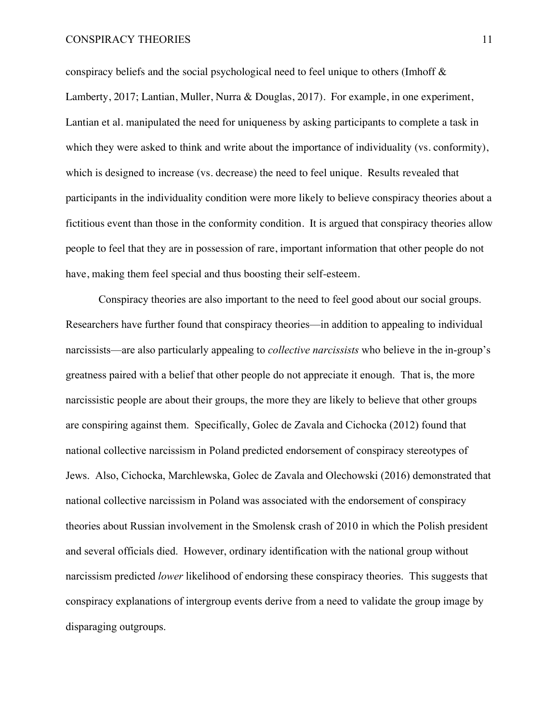conspiracy beliefs and the social psychological need to feel unique to others (Imhoff  $\&$ Lamberty, 2017; Lantian, Muller, Nurra & Douglas, 2017). For example, in one experiment, Lantian et al. manipulated the need for uniqueness by asking participants to complete a task in which they were asked to think and write about the importance of individuality (vs. conformity), which is designed to increase (vs. decrease) the need to feel unique. Results revealed that participants in the individuality condition were more likely to believe conspiracy theories about a fictitious event than those in the conformity condition. It is argued that conspiracy theories allow people to feel that they are in possession of rare, important information that other people do not have, making them feel special and thus boosting their self-esteem.

Conspiracy theories are also important to the need to feel good about our social groups. Researchers have further found that conspiracy theories—in addition to appealing to individual narcissists—are also particularly appealing to *collective narcissists* who believe in the in-group's greatness paired with a belief that other people do not appreciate it enough. That is, the more narcissistic people are about their groups, the more they are likely to believe that other groups are conspiring against them. Specifically, Golec de Zavala and Cichocka (2012) found that national collective narcissism in Poland predicted endorsement of conspiracy stereotypes of Jews. Also, Cichocka, Marchlewska, Golec de Zavala and Olechowski (2016) demonstrated that national collective narcissism in Poland was associated with the endorsement of conspiracy theories about Russian involvement in the Smolensk crash of 2010 in which the Polish president and several officials died. However, ordinary identification with the national group without narcissism predicted *lower* likelihood of endorsing these conspiracy theories. This suggests that conspiracy explanations of intergroup events derive from a need to validate the group image by disparaging outgroups.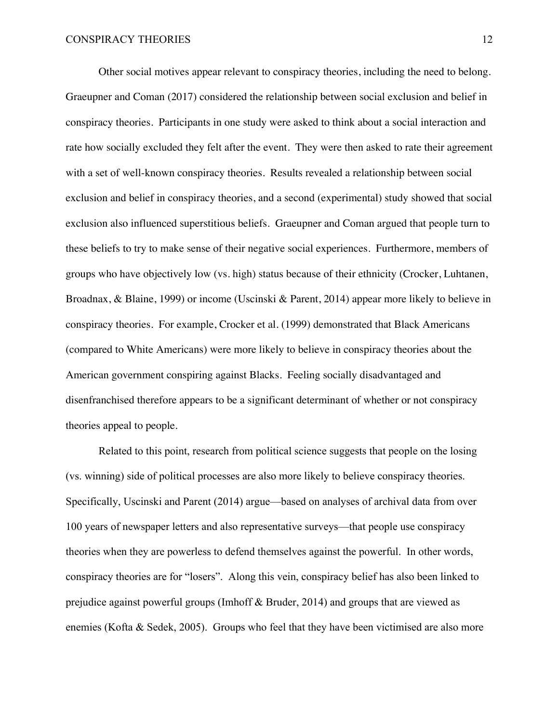Other social motives appear relevant to conspiracy theories, including the need to belong. Graeupner and Coman (2017) considered the relationship between social exclusion and belief in conspiracy theories. Participants in one study were asked to think about a social interaction and rate how socially excluded they felt after the event. They were then asked to rate their agreement with a set of well-known conspiracy theories. Results revealed a relationship between social exclusion and belief in conspiracy theories, and a second (experimental) study showed that social exclusion also influenced superstitious beliefs. Graeupner and Coman argued that people turn to these beliefs to try to make sense of their negative social experiences. Furthermore, members of groups who have objectively low (vs. high) status because of their ethnicity (Crocker, Luhtanen, Broadnax, & Blaine, 1999) or income (Uscinski & Parent, 2014) appear more likely to believe in conspiracy theories. For example, Crocker et al. (1999) demonstrated that Black Americans (compared to White Americans) were more likely to believe in conspiracy theories about the American government conspiring against Blacks. Feeling socially disadvantaged and disenfranchised therefore appears to be a significant determinant of whether or not conspiracy theories appeal to people.

Related to this point, research from political science suggests that people on the losing (vs. winning) side of political processes are also more likely to believe conspiracy theories. Specifically, Uscinski and Parent (2014) argue—based on analyses of archival data from over 100 years of newspaper letters and also representative surveys—that people use conspiracy theories when they are powerless to defend themselves against the powerful. In other words, conspiracy theories are for "losers". Along this vein, conspiracy belief has also been linked to prejudice against powerful groups (Imhoff & Bruder, 2014) and groups that are viewed as enemies (Kofta & Sedek, 2005). Groups who feel that they have been victimised are also more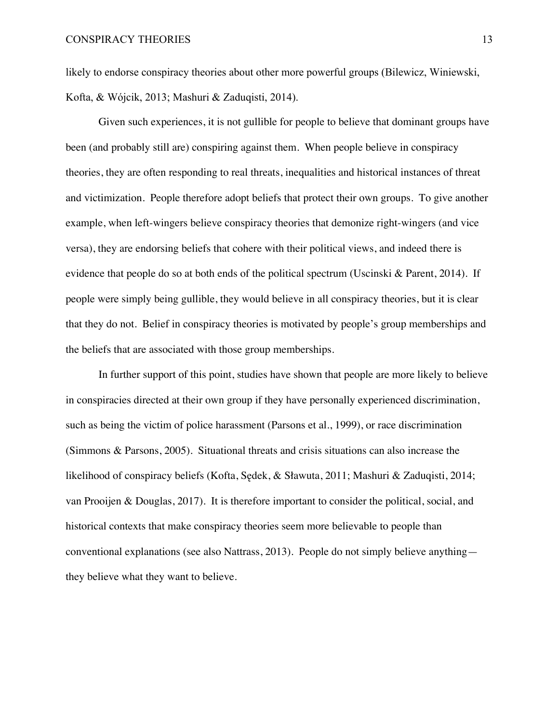likely to endorse conspiracy theories about other more powerful groups (Bilewicz, Winiewski, Kofta, & Wójcik, 2013; Mashuri & Zaduqisti, 2014).

Given such experiences, it is not gullible for people to believe that dominant groups have been (and probably still are) conspiring against them. When people believe in conspiracy theories, they are often responding to real threats, inequalities and historical instances of threat and victimization. People therefore adopt beliefs that protect their own groups. To give another example, when left-wingers believe conspiracy theories that demonize right-wingers (and vice versa), they are endorsing beliefs that cohere with their political views, and indeed there is evidence that people do so at both ends of the political spectrum (Uscinski & Parent, 2014). If people were simply being gullible, they would believe in all conspiracy theories, but it is clear that they do not. Belief in conspiracy theories is motivated by people's group memberships and the beliefs that are associated with those group memberships.

In further support of this point, studies have shown that people are more likely to believe in conspiracies directed at their own group if they have personally experienced discrimination, such as being the victim of police harassment (Parsons et al., 1999), or race discrimination (Simmons & Parsons, 2005). Situational threats and crisis situations can also increase the likelihood of conspiracy beliefs (Kofta, Sędek, & Sławuta, 2011; Mashuri & Zaduqisti, 2014; van Prooijen & Douglas, 2017). It is therefore important to consider the political, social, and historical contexts that make conspiracy theories seem more believable to people than conventional explanations (see also Nattrass, 2013). People do not simply believe anything they believe what they want to believe.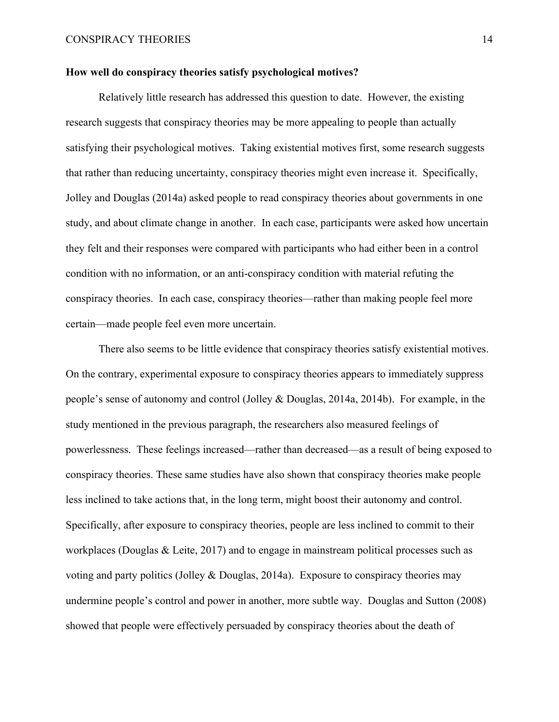#### **How well do conspiracy theories satisfy psychological motives?**

Relatively little research has addressed this question to date. However, the existing research suggests that conspiracy theories may be more appealing to people than actually satisfying their psychological motives. Taking existential motives first, some research suggests that rather than reducing uncertainty, conspiracy theories might even increase it. Specifically, Jolley and Douglas (2014a) asked people to read conspiracy theories about governments in one study, and about climate change in another. In each case, participants were asked how uncertain they felt and their responses were compared with participants who had either been in a control condition with no information, or an anti-conspiracy condition with material refuting the conspiracy theories. In each case, conspiracy theories—rather than making people feel more certain—made people feel even more uncertain.

There also seems to be little evidence that conspiracy theories satisfy existential motives. On the contrary, experimental exposure to conspiracy theories appears to immediately suppress people's sense of autonomy and control (Jolley & Douglas, 2014a, 2014b). For example, in the study mentioned in the previous paragraph, the researchers also measured feelings of powerlessness. These feelings increased—rather than decreased—as a result of being exposed to conspiracy theories. These same studies have also shown that conspiracy theories make people less inclined to take actions that, in the long term, might boost their autonomy and control. Specifically, after exposure to conspiracy theories, people are less inclined to commit to their workplaces (Douglas  $& Leite, 2017$ ) and to engage in mainstream political processes such as voting and party politics (Jolley & Douglas, 2014a). Exposure to conspiracy theories may undermine people's control and power in another, more subtle way. Douglas and Sutton (2008) showed that people were effectively persuaded by conspiracy theories about the death of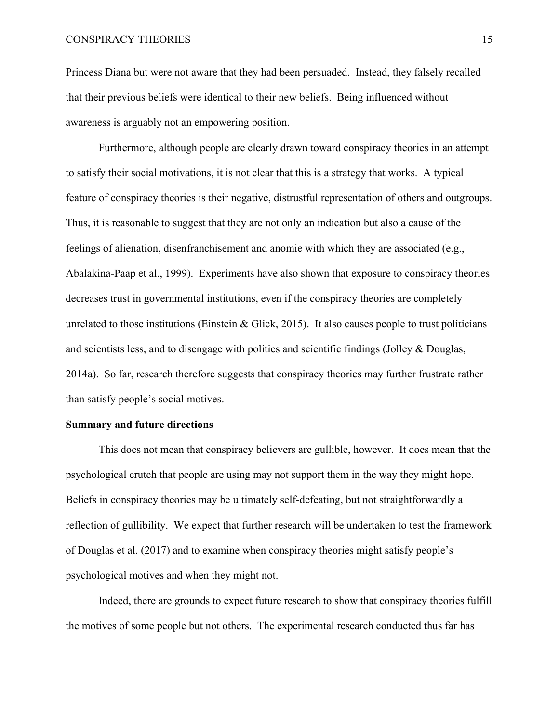#### CONSPIRACY THEORIES 15

Princess Diana but were not aware that they had been persuaded. Instead, they falsely recalled that their previous beliefs were identical to their new beliefs. Being influenced without awareness is arguably not an empowering position.

Furthermore, although people are clearly drawn toward conspiracy theories in an attempt to satisfy their social motivations, it is not clear that this is a strategy that works. A typical feature of conspiracy theories is their negative, distrustful representation of others and outgroups. Thus, it is reasonable to suggest that they are not only an indication but also a cause of the feelings of alienation, disenfranchisement and anomie with which they are associated (e.g., Abalakina-Paap et al., 1999). Experiments have also shown that exposure to conspiracy theories decreases trust in governmental institutions, even if the conspiracy theories are completely unrelated to those institutions (Einstein  $\&$  Glick, 2015). It also causes people to trust politicians and scientists less, and to disengage with politics and scientific findings (Jolley  $\&$  Douglas, 2014a). So far, research therefore suggests that conspiracy theories may further frustrate rather than satisfy people's social motives.

#### **Summary and future directions**

This does not mean that conspiracy believers are gullible, however. It does mean that the psychological crutch that people are using may not support them in the way they might hope. Beliefs in conspiracy theories may be ultimately self-defeating, but not straightforwardly a reflection of gullibility. We expect that further research will be undertaken to test the framework of Douglas et al. (2017) and to examine when conspiracy theories might satisfy people's psychological motives and when they might not.

Indeed, there are grounds to expect future research to show that conspiracy theories fulfill the motives of some people but not others. The experimental research conducted thus far has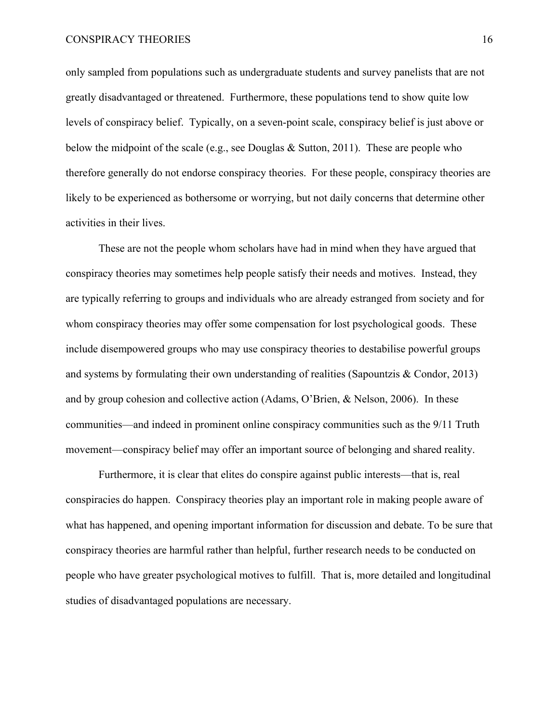only sampled from populations such as undergraduate students and survey panelists that are not greatly disadvantaged or threatened. Furthermore, these populations tend to show quite low levels of conspiracy belief. Typically, on a seven-point scale, conspiracy belief is just above or below the midpoint of the scale (e.g., see Douglas  $\&$  Sutton, 2011). These are people who therefore generally do not endorse conspiracy theories. For these people, conspiracy theories are likely to be experienced as bothersome or worrying, but not daily concerns that determine other activities in their lives.

These are not the people whom scholars have had in mind when they have argued that conspiracy theories may sometimes help people satisfy their needs and motives. Instead, they are typically referring to groups and individuals who are already estranged from society and for whom conspiracy theories may offer some compensation for lost psychological goods. These include disempowered groups who may use conspiracy theories to destabilise powerful groups and systems by formulating their own understanding of realities (Sapountzis & Condor, 2013) and by group cohesion and collective action (Adams, O'Brien, & Nelson, 2006). In these communities—and indeed in prominent online conspiracy communities such as the 9/11 Truth movement—conspiracy belief may offer an important source of belonging and shared reality.

Furthermore, it is clear that elites do conspire against public interests—that is, real conspiracies do happen. Conspiracy theories play an important role in making people aware of what has happened, and opening important information for discussion and debate. To be sure that conspiracy theories are harmful rather than helpful, further research needs to be conducted on people who have greater psychological motives to fulfill. That is, more detailed and longitudinal studies of disadvantaged populations are necessary.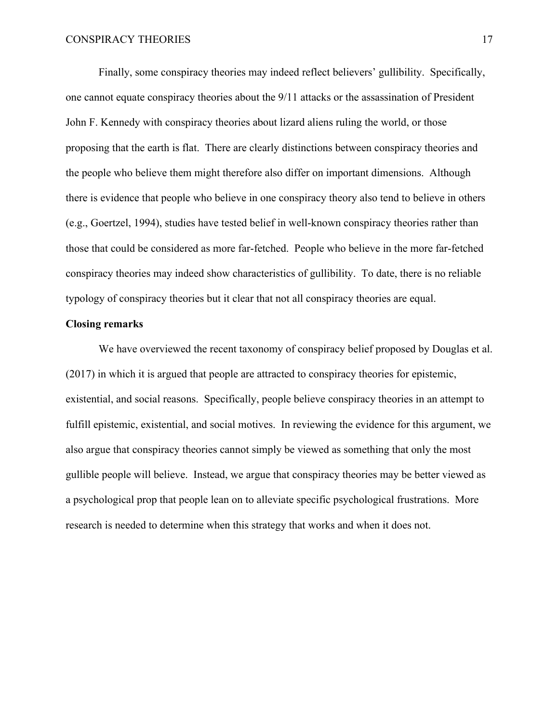Finally, some conspiracy theories may indeed reflect believers' gullibility. Specifically, one cannot equate conspiracy theories about the 9/11 attacks or the assassination of President John F. Kennedy with conspiracy theories about lizard aliens ruling the world, or those proposing that the earth is flat. There are clearly distinctions between conspiracy theories and the people who believe them might therefore also differ on important dimensions. Although there is evidence that people who believe in one conspiracy theory also tend to believe in others (e.g., Goertzel, 1994), studies have tested belief in well-known conspiracy theories rather than those that could be considered as more far-fetched. People who believe in the more far-fetched conspiracy theories may indeed show characteristics of gullibility. To date, there is no reliable typology of conspiracy theories but it clear that not all conspiracy theories are equal.

#### **Closing remarks**

We have overviewed the recent taxonomy of conspiracy belief proposed by Douglas et al. (2017) in which it is argued that people are attracted to conspiracy theories for epistemic, existential, and social reasons. Specifically, people believe conspiracy theories in an attempt to fulfill epistemic, existential, and social motives. In reviewing the evidence for this argument, we also argue that conspiracy theories cannot simply be viewed as something that only the most gullible people will believe. Instead, we argue that conspiracy theories may be better viewed as a psychological prop that people lean on to alleviate specific psychological frustrations. More research is needed to determine when this strategy that works and when it does not.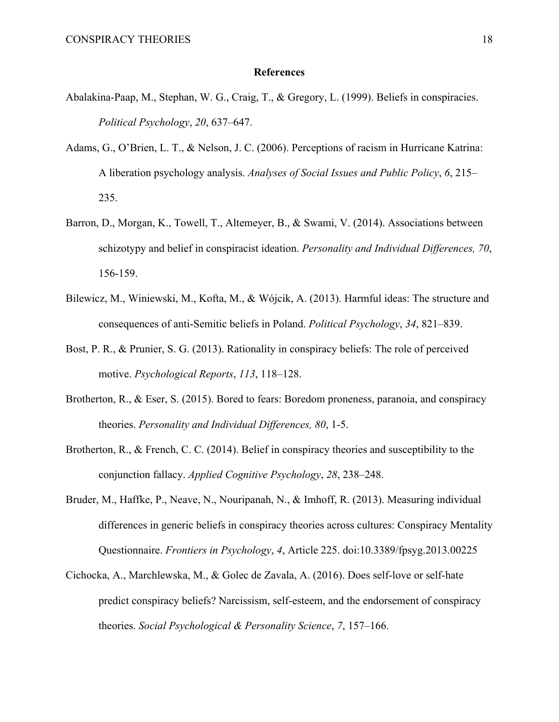#### **References**

- Abalakina-Paap, M., Stephan, W. G., Craig, T., & Gregory, L. (1999). Beliefs in conspiracies. *Political Psychology*, *20*, 637–647.
- Adams, G., O'Brien, L. T., & Nelson, J. C. (2006). Perceptions of racism in Hurricane Katrina: A liberation psychology analysis. *Analyses of Social Issues and Public Policy*, *6*, 215– 235.
- Barron, D., Morgan, K., Towell, T., Altemeyer, B., & Swami, V. (2014). Associations between schizotypy and belief in conspiracist ideation. *Personality and Individual Differences, 70*, 156-159.
- Bilewicz, M., Winiewski, M., Kofta, M., & Wójcik, A. (2013). Harmful ideas: The structure and consequences of anti-Semitic beliefs in Poland. *Political Psychology*, *34*, 821–839.
- Bost, P. R., & Prunier, S. G. (2013). Rationality in conspiracy beliefs: The role of perceived motive. *Psychological Reports*, *113*, 118–128.
- Brotherton, R., & Eser, S. (2015). Bored to fears: Boredom proneness, paranoia, and conspiracy theories. *Personality and Individual Differences, 80*, 1-5.
- Brotherton, R., & French, C. C. (2014). Belief in conspiracy theories and susceptibility to the conjunction fallacy. *Applied Cognitive Psychology*, *28*, 238–248.
- Bruder, M., Haffke, P., Neave, N., Nouripanah, N., & Imhoff, R. (2013). Measuring individual differences in generic beliefs in conspiracy theories across cultures: Conspiracy Mentality Questionnaire. *Frontiers in Psychology*, *4*, Article 225. doi:10.3389/fpsyg.2013.00225
- Cichocka, A., Marchlewska, M., & Golec de Zavala, A. (2016). Does self-love or self-hate predict conspiracy beliefs? Narcissism, self-esteem, and the endorsement of conspiracy theories. *Social Psychological & Personality Science*, *7*, 157–166.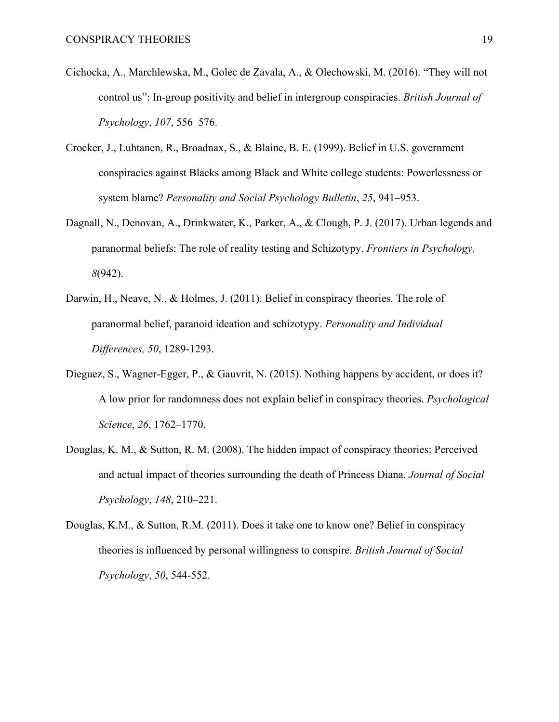- Cichocka, A., Marchlewska, M., Golec de Zavala, A., & Olechowski, M. (2016). "They will not control us": In-group positivity and belief in intergroup conspiracies. *British Journal of Psychology*, *107*, 556–576.
- Crocker, J., Luhtanen, R., Broadnax, S., & Blaine, B. E. (1999). Belief in U.S. government conspiracies against Blacks among Black and White college students: Powerlessness or system blame? *Personality and Social Psychology Bulletin*, *25*, 941–953.
- Dagnall, N., Denovan, A., Drinkwater, K., Parker, A., & Clough, P. J. (2017). Urban legends and paranormal beliefs: The role of reality testing and Schizotypy. *Frontiers in Psychology, 8*(942).
- Darwin, H., Neave, N., & Holmes, J. (2011). Belief in conspiracy theories. The role of paranormal belief, paranoid ideation and schizotypy. *Personality and Individual Differences, 50*, 1289-1293.
- Dieguez, S., Wagner-Egger, P., & Gauvrit, N. (2015). Nothing happens by accident, or does it? A low prior for randomness does not explain belief in conspiracy theories. *Psychological Science*, *26*, 1762–1770.
- Douglas, K. M., & Sutton, R. M. (2008). The hidden impact of conspiracy theories: Perceived and actual impact of theories surrounding the death of Princess Diana. *Journal of Social Psychology*, *148*, 210–221.
- Douglas, K.M., & Sutton, R.M. (2011). Does it take one to know one? Belief in conspiracy theories is influenced by personal willingness to conspire. *British Journal of Social Psychology*, *50*, 544-552.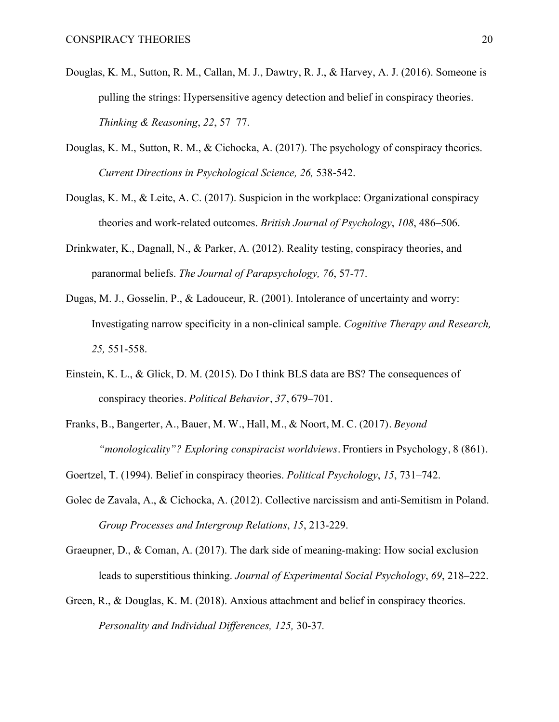- Douglas, K. M., Sutton, R. M., Callan, M. J., Dawtry, R. J., & Harvey, A. J. (2016). Someone is pulling the strings: Hypersensitive agency detection and belief in conspiracy theories. *Thinking & Reasoning*, *22*, 57–77.
- Douglas, K. M., Sutton, R. M., & Cichocka, A. (2017). The psychology of conspiracy theories. *Current Directions in Psychological Science, 26,* 538-542.
- Douglas, K. M., & Leite, A. C. (2017). Suspicion in the workplace: Organizational conspiracy theories and work-related outcomes. *British Journal of Psychology*, *108*, 486–506.
- Drinkwater, K., Dagnall, N., & Parker, A. (2012). Reality testing, conspiracy theories, and paranormal beliefs. *The Journal of Parapsychology, 76*, 57-77.
- Dugas, M. J., Gosselin, P., & Ladouceur, R. (2001). Intolerance of uncertainty and worry: Investigating narrow specificity in a non-clinical sample. *Cognitive Therapy and Research, 25,* 551-558.
- Einstein, K. L., & Glick, D. M. (2015). Do I think BLS data are BS? The consequences of conspiracy theories. *Political Behavior*, *37*, 679–701.
- Franks, B., Bangerter, A., Bauer, M. W., Hall, M., & Noort, M. C. (2017). *Beyond "monologicality"? Exploring conspiracist worldviews.* Frontiers in Psychology, 8 (861).
- Goertzel, T. (1994). Belief in conspiracy theories. *Political Psychology*, *15*, 731–742.
- Golec de Zavala, A., & Cichocka, A. (2012). Collective narcissism and anti-Semitism in Poland. *Group Processes and Intergroup Relations*, *15*, 213-229.
- Graeupner, D., & Coman, A. (2017). The dark side of meaning-making: How social exclusion leads to superstitious thinking. *Journal of Experimental Social Psychology*, *69*, 218–222.
- Green, R., & Douglas, K. M. (2018). Anxious attachment and belief in conspiracy theories. *Personality and Individual Differences, 125,* 30-37*.*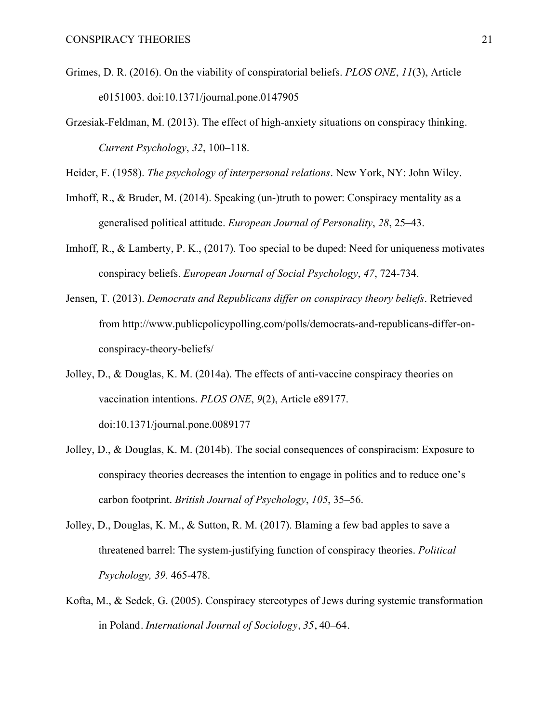- Grimes, D. R. (2016). On the viability of conspiratorial beliefs. *PLOS ONE*, *11*(3), Article e0151003. doi:10.1371/journal.pone.0147905
- Grzesiak-Feldman, M. (2013). The effect of high-anxiety situations on conspiracy thinking. *Current Psychology*, *32*, 100–118.

Heider, F. (1958). *The psychology of interpersonal relations*. New York, NY: John Wiley.

- Imhoff, R., & Bruder, M. (2014). Speaking (un-)truth to power: Conspiracy mentality as a generalised political attitude. *European Journal of Personality*, *28*, 25–43.
- Imhoff, R., & Lamberty, P. K., (2017). Too special to be duped: Need for uniqueness motivates conspiracy beliefs. *European Journal of Social Psychology*, *47*, 724-734.
- Jensen, T. (2013). *Democrats and Republicans differ on conspiracy theory beliefs*. Retrieved from http://www.publicpolicypolling.com/polls/democrats-and-republicans-differ-onconspiracy-theory-beliefs/
- Jolley, D., & Douglas, K. M. (2014a). The effects of anti-vaccine conspiracy theories on vaccination intentions. *PLOS ONE*, *9*(2), Article e89177. doi:10.1371/journal.pone.0089177
- Jolley, D., & Douglas, K. M. (2014b). The social consequences of conspiracism: Exposure to conspiracy theories decreases the intention to engage in politics and to reduce one's carbon footprint. *British Journal of Psychology*, *105*, 35–56.
- Jolley, D., Douglas, K. M., & Sutton, R. M. (2017). Blaming a few bad apples to save a threatened barrel: The system-justifying function of conspiracy theories. *Political Psychology, 39.* 465-478.
- Kofta, M., & Sedek, G. (2005). Conspiracy stereotypes of Jews during systemic transformation in Poland. *International Journal of Sociology*, *35*, 40–64.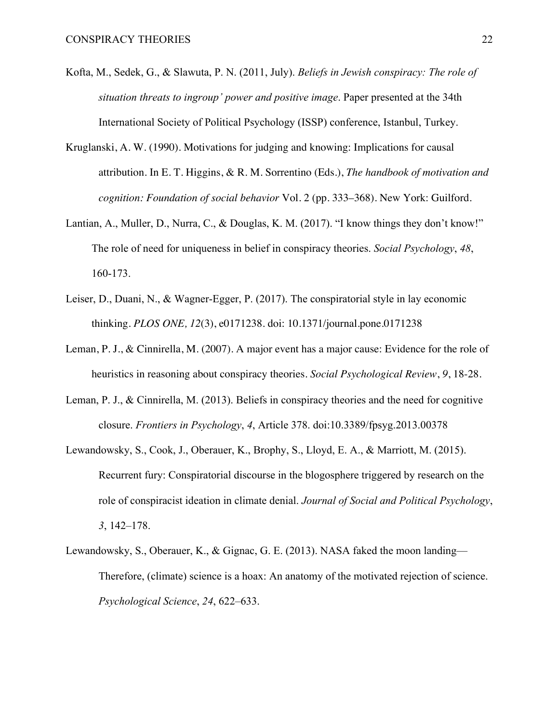- Kofta, M., Sedek, G., & Slawuta, P. N. (2011, July). *Beliefs in Jewish conspiracy: The role of situation threats to ingroup' power and positive image*. Paper presented at the 34th International Society of Political Psychology (ISSP) conference, Istanbul, Turkey.
- Kruglanski, A. W. (1990). Motivations for judging and knowing: Implications for causal attribution. In E. T. Higgins, & R. M. Sorrentino (Eds.), *The handbook of motivation and cognition: Foundation of social behavior* Vol. 2 (pp. 333–368). New York: Guilford.
- Lantian, A., Muller, D., Nurra, C., & Douglas, K. M. (2017). "I know things they don't know!" The role of need for uniqueness in belief in conspiracy theories. *Social Psychology*, *48*, 160-173.
- Leiser, D., Duani, N., & Wagner-Egger, P. (2017). The conspiratorial style in lay economic thinking. *PLOS ONE, 12*(3), e0171238. doi: 10.1371/journal.pone.0171238
- Leman, P. J., & Cinnirella, M. (2007). A major event has a major cause: Evidence for the role of heuristics in reasoning about conspiracy theories. *Social Psychological Review*, *9*, 18-28.
- Leman, P. J., & Cinnirella, M. (2013). Beliefs in conspiracy theories and the need for cognitive closure. *Frontiers in Psychology*, *4*, Article 378. doi:10.3389/fpsyg.2013.00378
- Lewandowsky, S., Cook, J., Oberauer, K., Brophy, S., Lloyd, E. A., & Marriott, M. (2015). Recurrent fury: Conspiratorial discourse in the blogosphere triggered by research on the role of conspiracist ideation in climate denial. *Journal of Social and Political Psychology*, *3*, 142–178.
- Lewandowsky, S., Oberauer, K., & Gignac, G. E. (2013). NASA faked the moon landing— Therefore, (climate) science is a hoax: An anatomy of the motivated rejection of science. *Psychological Science*, *24*, 622–633.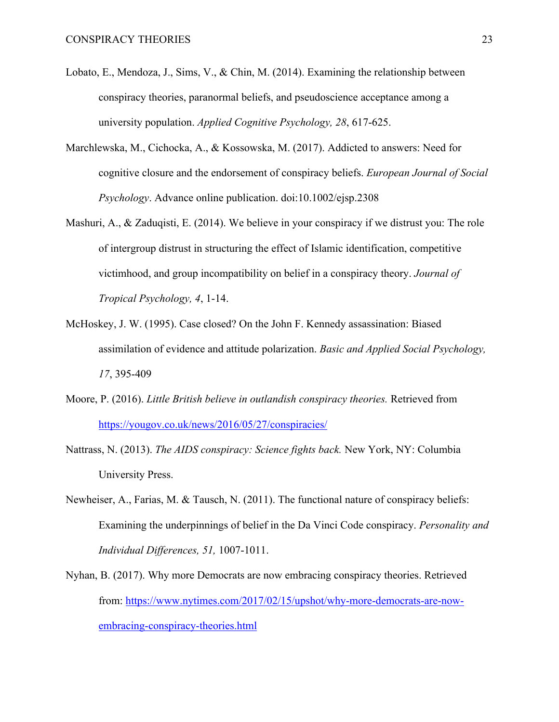- Lobato, E., Mendoza, J., Sims, V., & Chin, M. (2014). Examining the relationship between conspiracy theories, paranormal beliefs, and pseudoscience acceptance among a university population. *Applied Cognitive Psychology, 28*, 617-625.
- Marchlewska, M., Cichocka, A., & Kossowska, M. (2017). Addicted to answers: Need for cognitive closure and the endorsement of conspiracy beliefs. *European Journal of Social Psychology*. Advance online publication. doi:10.1002/ejsp.2308
- Mashuri, A., & Zaduqisti, E. (2014). We believe in your conspiracy if we distrust you: The role of intergroup distrust in structuring the effect of Islamic identification, competitive victimhood, and group incompatibility on belief in a conspiracy theory. *Journal of Tropical Psychology, 4*, 1-14.
- McHoskey, J. W. (1995). Case closed? On the John F. Kennedy assassination: Biased assimilation of evidence and attitude polarization. *Basic and Applied Social Psychology, 17*, 395-409
- Moore, P. (2016). *Little British believe in outlandish conspiracy theories.* Retrieved from https://yougov.co.uk/news/2016/05/27/conspiracies/
- Nattrass, N. (2013). *The AIDS conspiracy: Science fights back.* New York, NY: Columbia University Press.
- Newheiser, A., Farias, M. & Tausch, N. (2011). The functional nature of conspiracy beliefs: Examining the underpinnings of belief in the Da Vinci Code conspiracy. *Personality and Individual Differences, 51,* 1007-1011.
- Nyhan, B. (2017). Why more Democrats are now embracing conspiracy theories. Retrieved from: https://www.nytimes.com/2017/02/15/upshot/why-more-democrats-are-nowembracing-conspiracy-theories.html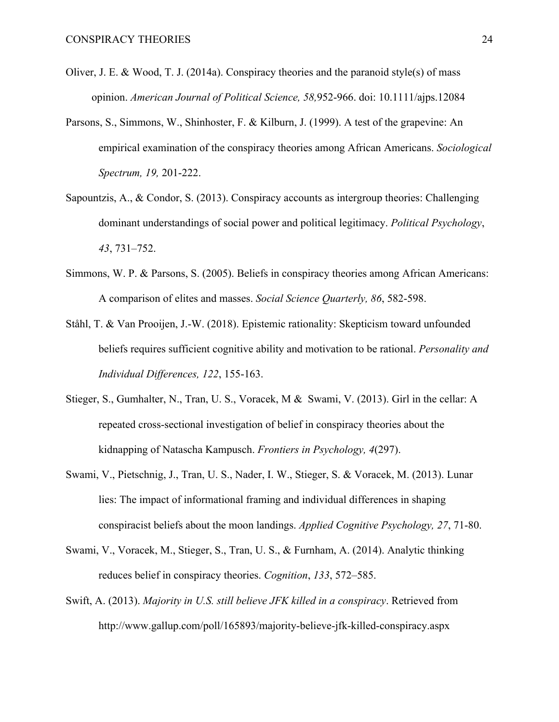- Oliver, J. E. & Wood, T. J. (2014a). Conspiracy theories and the paranoid style(s) of mass opinion. *American Journal of Political Science, 58,*952-966. doi: 10.1111/ajps.12084
- Parsons, S., Simmons, W., Shinhoster, F. & Kilburn, J. (1999). A test of the grapevine: An empirical examination of the conspiracy theories among African Americans. *Sociological Spectrum, 19,* 201-222.
- Sapountzis, A., & Condor, S. (2013). Conspiracy accounts as intergroup theories: Challenging dominant understandings of social power and political legitimacy. *Political Psychology*, *43*, 731–752.
- Simmons, W. P. & Parsons, S. (2005). Beliefs in conspiracy theories among African Americans: A comparison of elites and masses. *Social Science Quarterly, 86*, 582-598.
- Ståhl, T. & Van Prooijen, J.-W. (2018). Epistemic rationality: Skepticism toward unfounded beliefs requires sufficient cognitive ability and motivation to be rational. *Personality and Individual Differences, 122*, 155-163.
- Stieger, S., Gumhalter, N., Tran, U. S., Voracek, M & Swami, V. (2013). Girl in the cellar: A repeated cross-sectional investigation of belief in conspiracy theories about the kidnapping of Natascha Kampusch. *Frontiers in Psychology, 4*(297).
- Swami, V., Pietschnig, J., Tran, U. S., Nader, I. W., Stieger, S. & Voracek, M. (2013). Lunar lies: The impact of informational framing and individual differences in shaping conspiracist beliefs about the moon landings. *Applied Cognitive Psychology, 27*, 71-80.
- Swami, V., Voracek, M., Stieger, S., Tran, U. S., & Furnham, A. (2014). Analytic thinking reduces belief in conspiracy theories. *Cognition*, *133*, 572–585.
- Swift, A. (2013). *Majority in U.S. still believe JFK killed in a conspiracy*. Retrieved from http://www.gallup.com/poll/165893/majority-believe-jfk-killed-conspiracy.aspx